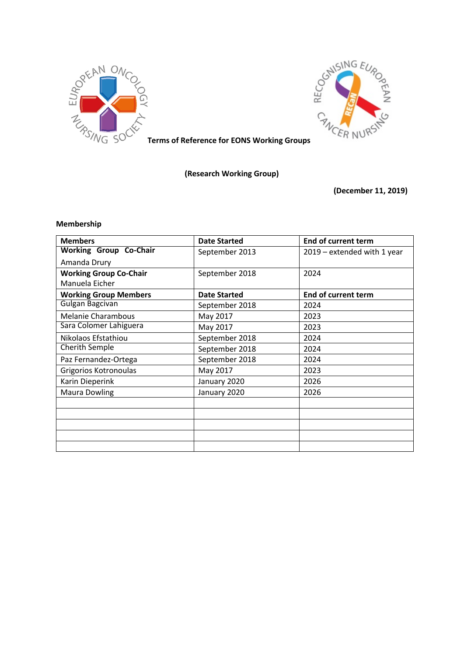



**Terms of Reference for EONS Working Groups**

**(Research Working Group)** 

**(December 11, 2019)**

# **Membership**

| <b>Members</b>                | <b>Date Started</b> | <b>End of current term</b>  |
|-------------------------------|---------------------|-----------------------------|
| <b>Working Group Co-Chair</b> | September 2013      | 2019 - extended with 1 year |
| Amanda Drury                  |                     |                             |
| <b>Working Group Co-Chair</b> | September 2018      | 2024                        |
| Manuela Eicher                |                     |                             |
| <b>Working Group Members</b>  | <b>Date Started</b> | End of current term         |
| Gulgan Bagcivan               | September 2018      | 2024                        |
| <b>Melanie Charambous</b>     | May 2017            | 2023                        |
| Sara Colomer Lahiguera        | May 2017            | 2023                        |
| Nikolaos Efstathiou           | September 2018      | 2024                        |
| Cherith Semple                | September 2018      | 2024                        |
| Paz Fernandez-Ortega          | September 2018      | 2024                        |
| Grigorios Kotronoulas         | May 2017            | 2023                        |
| Karin Dieperink               | January 2020        | 2026                        |
| <b>Maura Dowling</b>          | January 2020        | 2026                        |
|                               |                     |                             |
|                               |                     |                             |
|                               |                     |                             |
|                               |                     |                             |
|                               |                     |                             |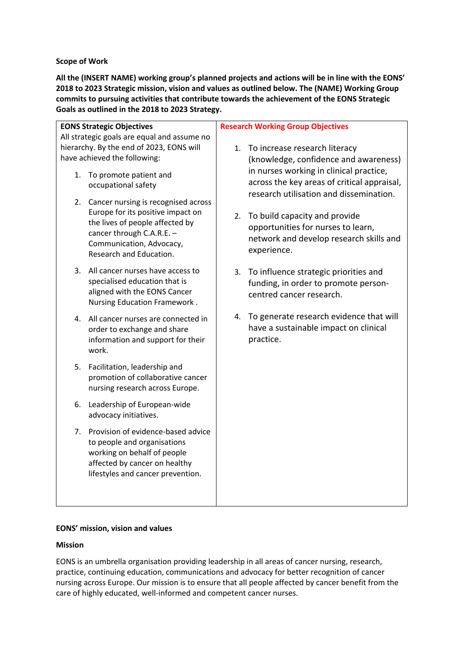# **Scope of Work**

**All the (INSERT NAME) working group's planned projects and actions will be in line with the EONS' 2018 to 2023 Strategic mission, vision and values as outlined below. The (NAME) Working Group commits to pursuing activities that contribute towards the achievement of the EONS Strategic Goals as outlined in the 2018 to 2023 Strategy.**

| <b>EONS Strategic Objectives</b>            |                                                                             | <b>Research Working Group Objectives</b> |                                                        |  |
|---------------------------------------------|-----------------------------------------------------------------------------|------------------------------------------|--------------------------------------------------------|--|
| All strategic goals are equal and assume no |                                                                             |                                          |                                                        |  |
| hierarchy. By the end of 2023, EONS will    |                                                                             |                                          | 1. To increase research literacy                       |  |
| have achieved the following:                |                                                                             |                                          | (knowledge, confidence and awareness)                  |  |
| 1.                                          | To promote patient and                                                      |                                          | in nurses working in clinical practice,                |  |
|                                             | occupational safety                                                         |                                          | across the key areas of critical appraisal,            |  |
|                                             |                                                                             |                                          | research utilisation and dissemination.                |  |
|                                             | 2. Cancer nursing is recognised across<br>Europe for its positive impact on |                                          |                                                        |  |
|                                             | the lives of people affected by                                             |                                          | 2. To build capacity and provide                       |  |
|                                             | cancer through C.A.R.E. -                                                   |                                          | opportunities for nurses to learn,                     |  |
|                                             | Communication, Advocacy,                                                    |                                          | network and develop research skills and<br>experience. |  |
|                                             | Research and Education.                                                     |                                          |                                                        |  |
|                                             | 3. All cancer nurses have access to                                         |                                          | 3. To influence strategic priorities and               |  |
|                                             | specialised education that is                                               |                                          | funding, in order to promote person-                   |  |
|                                             | aligned with the EONS Cancer                                                |                                          | centred cancer research.                               |  |
|                                             | Nursing Education Framework.                                                |                                          |                                                        |  |
| 4.                                          | All cancer nurses are connected in                                          |                                          | 4. To generate research evidence that will             |  |
|                                             | order to exchange and share                                                 |                                          | have a sustainable impact on clinical                  |  |
|                                             | information and support for their                                           |                                          | practice.                                              |  |
|                                             | work.                                                                       |                                          |                                                        |  |
| 5.                                          | Facilitation, leadership and                                                |                                          |                                                        |  |
|                                             | promotion of collaborative cancer                                           |                                          |                                                        |  |
|                                             | nursing research across Europe.                                             |                                          |                                                        |  |
| 6.                                          | Leadership of European-wide                                                 |                                          |                                                        |  |
|                                             | advocacy initiatives.                                                       |                                          |                                                        |  |
| 7.                                          | Provision of evidence-based advice                                          |                                          |                                                        |  |
|                                             | to people and organisations                                                 |                                          |                                                        |  |
|                                             | working on behalf of people                                                 |                                          |                                                        |  |
|                                             | affected by cancer on healthy                                               |                                          |                                                        |  |
|                                             | lifestyles and cancer prevention.                                           |                                          |                                                        |  |
|                                             |                                                                             |                                          |                                                        |  |

# **EONS' mission, vision and values**

## **Mission**

EONS is an umbrella organisation providing leadership in all areas of cancer nursing, research, practice, continuing education, communications and advocacy for better recognition of cancer nursing across Europe. Our mission is to ensure that all people affected by cancer benefit from the care of highly educated, well-informed and competent cancer nurses.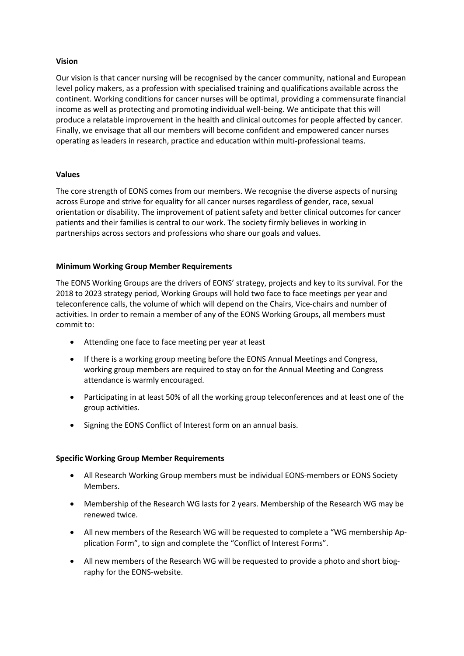# **Vision**

Our vision is that cancer nursing will be recognised by the cancer community, national and European level policy makers, as a profession with specialised training and qualifications available across the continent. Working conditions for cancer nurses will be optimal, providing a commensurate financial income as well as protecting and promoting individual well-being. We anticipate that this will produce a relatable improvement in the health and clinical outcomes for people affected by cancer. Finally, we envisage that all our members will become confident and empowered cancer nurses operating as leaders in research, practice and education within multi-professional teams.

## **Values**

The core strength of EONS comes from our members. We recognise the diverse aspects of nursing across Europe and strive for equality for all cancer nurses regardless of gender, race, sexual orientation or disability. The improvement of patient safety and better clinical outcomes for cancer patients and their families is central to our work. The society firmly believes in working in partnerships across sectors and professions who share our goals and values.

# **Minimum Working Group Member Requirements**

The EONS Working Groups are the drivers of EONS' strategy, projects and key to its survival. For the 2018 to 2023 strategy period, Working Groups will hold two face to face meetings per year and teleconference calls, the volume of which will depend on the Chairs, Vice-chairs and number of activities. In order to remain a member of any of the EONS Working Groups, all members must commit to:

- Attending one face to face meeting per year at least
- If there is a working group meeting before the EONS Annual Meetings and Congress, working group members are required to stay on for the Annual Meeting and Congress attendance is warmly encouraged.
- Participating in at least 50% of all the working group teleconferences and at least one of the group activities.
- Signing the EONS Conflict of Interest form on an annual basis.

## **Specific Working Group Member Requirements**

- All Research Working Group members must be individual EONS-members or EONS Society Members.
- Membership of the Research WG lasts for 2 years. Membership of the Research WG may be renewed twice.
- All new members of the Research WG will be requested to complete a "WG membership Application Form", to sign and complete the "Conflict of Interest Forms".
- All new members of the Research WG will be requested to provide a photo and short biography for the EONS-website.